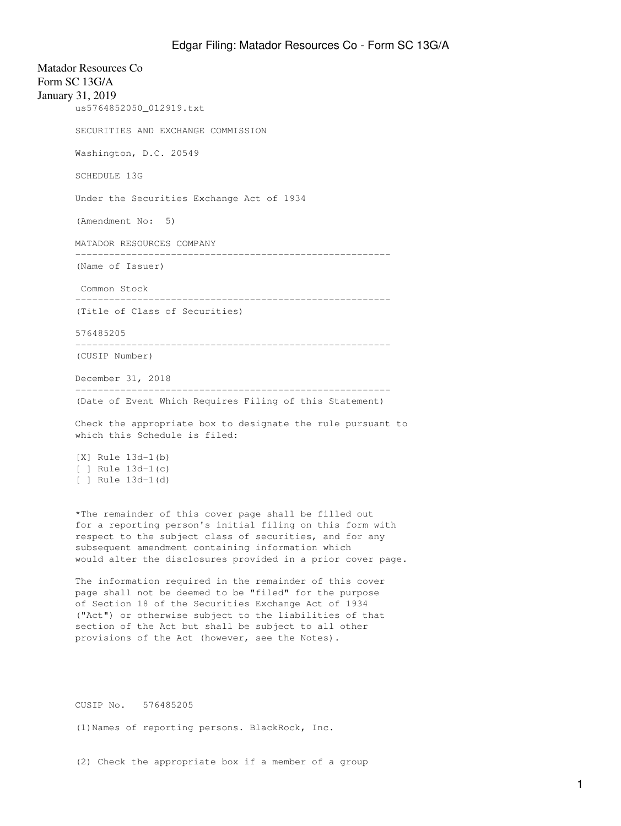Matador Resources Co Form SC 13G/A January 31, 2019 us5764852050\_012919.txt SECURITIES AND EXCHANGE COMMISSION Washington, D.C. 20549 SCHEDULE 13G Under the Securities Exchange Act of 1934 (Amendment No: 5) MATADOR RESOURCES COMPANY -------------------------------------------------------- (Name of Issuer) Common Stock -------------------------------------------------------- (Title of Class of Securities) 576485205 -------------------------------------------------------- (CUSIP Number) December 31, 2018 -------------------------------------------------------- (Date of Event Which Requires Filing of this Statement) Check the appropriate box to designate the rule pursuant to which this Schedule is filed: [X] Rule 13d-1(b) [ ] Rule 13d-1(c) [ ] Rule 13d-1(d) \*The remainder of this cover page shall be filled out for a reporting person's initial filing on this form with respect to the subject class of securities, and for any subsequent amendment containing information which would alter the disclosures provided in a prior cover page. The information required in the remainder of this cover page shall not be deemed to be "filed" for the purpose of Section 18 of the Securities Exchange Act of 1934

("Act") or otherwise subject to the liabilities of that section of the Act but shall be subject to all other provisions of the Act (however, see the Notes).

CUSIP No. 576485205

(1)Names of reporting persons. BlackRock, Inc.

(2) Check the appropriate box if a member of a group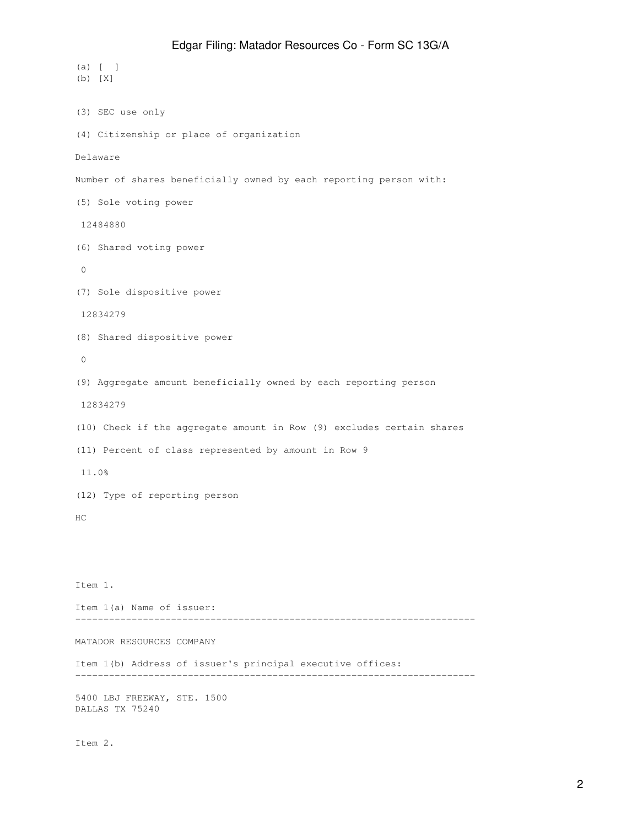```
(a) [ ]
(b) [X]
(3) SEC use only
(4) Citizenship or place of organization
Delaware
Number of shares beneficially owned by each reporting person with:
(5) Sole voting power
 12484880
(6) Shared voting power
 0
(7) Sole dispositive power
 12834279
(8) Shared dispositive power
 0
(9) Aggregate amount beneficially owned by each reporting person
 12834279
(10) Check if the aggregate amount in Row (9) excludes certain shares
(11) Percent of class represented by amount in Row 9
 11.0%
(12) Type of reporting person
HC
Item 1.
Item 1(a) Name of issuer:
-----------------------------------------------------------------------
MATADOR RESOURCES COMPANY
Item 1(b) Address of issuer's principal executive offices:
-----------------------------------------------------------------------
5400 LBJ FREEWAY, STE. 1500
DALLAS TX 75240
```
Item 2.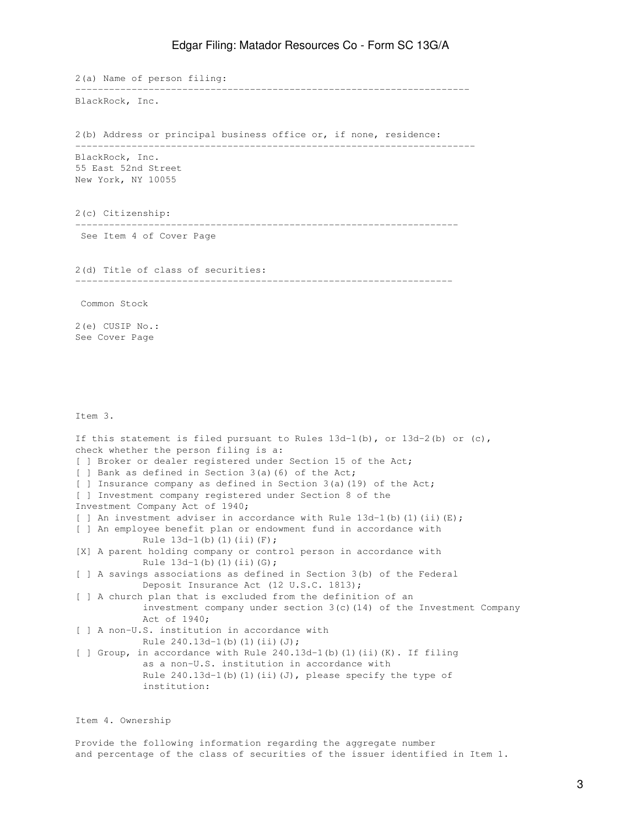2(a) Name of person filing: ---------------------------------------------------------------------- BlackRock, Inc. 2(b) Address or principal business office or, if none, residence: ----------------------------------------------------------------------- BlackRock, Inc. 55 East 52nd Street New York, NY 10055 2(c) Citizenship: -------------------------------------------------------------------- See Item 4 of Cover Page 2(d) Title of class of securities: ------------------------------------------------------------------- Common Stock 2(e) CUSIP No.: See Cover Page Item 3. If this statement is filed pursuant to Rules  $13d-1(b)$ , or  $13d-2(b)$  or  $(c)$ , check whether the person filing is a: [ ] Broker or dealer registered under Section 15 of the Act; [ ] Bank as defined in Section 3(a)(6) of the Act; [ ] Insurance company as defined in Section 3(a)(19) of the Act; [ ] Investment company registered under Section 8 of the Investment Company Act of 1940; [ ] An investment adviser in accordance with Rule  $13d-1$  (b) (1) (ii) (E); [ ] An employee benefit plan or endowment fund in accordance with Rule  $13d-1(b)$  (1)(ii)(F); [X] A parent holding company or control person in accordance with Rule  $13d-1(b)$  (1)(ii)(G); [ ] A savings associations as defined in Section 3(b) of the Federal Deposit Insurance Act (12 U.S.C. 1813); [ ] A church plan that is excluded from the definition of an investment company under section 3(c)(14) of the Investment Company Act of 1940; [ ] A non-U.S. institution in accordance with Rule  $240.13d-1(b)(1)(ii)(J);$ [ ] Group, in accordance with Rule 240.13d-1(b)(1)(ii)(K). If filing as a non-U.S. institution in accordance with Rule  $240.13d-1$ (b)(1)(ii)(J), please specify the type of institution:

Item 4. Ownership

Provide the following information regarding the aggregate number and percentage of the class of securities of the issuer identified in Item 1.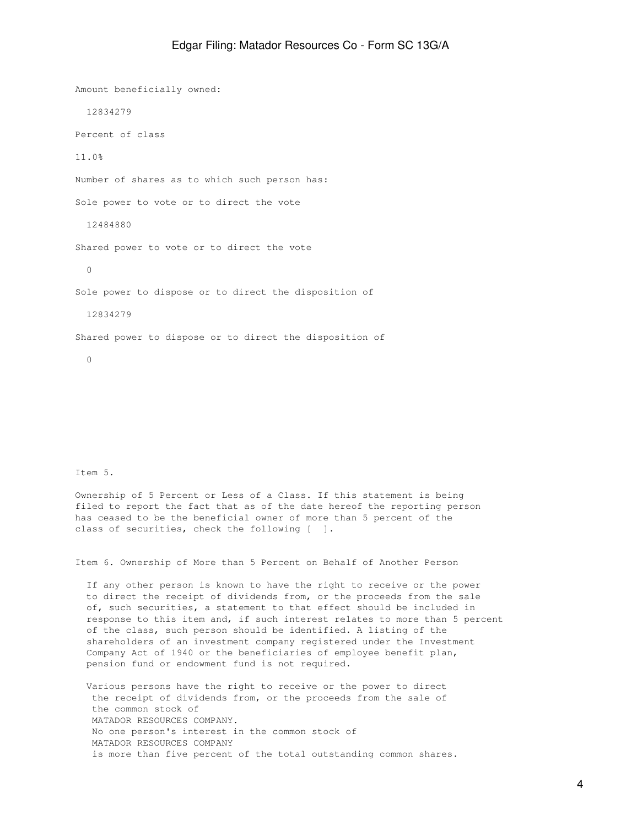Amount beneficially owned: 12834279 Percent of class 11.0% Number of shares as to which such person has: Sole power to vote or to direct the vote 12484880 Shared power to vote or to direct the vote 0 Sole power to dispose or to direct the disposition of 12834279 Shared power to dispose or to direct the disposition of 0

Item 5.

Ownership of 5 Percent or Less of a Class. If this statement is being filed to report the fact that as of the date hereof the reporting person has ceased to be the beneficial owner of more than 5 percent of the class of securities, check the following [ ].

Item 6. Ownership of More than 5 Percent on Behalf of Another Person

 If any other person is known to have the right to receive or the power to direct the receipt of dividends from, or the proceeds from the sale of, such securities, a statement to that effect should be included in response to this item and, if such interest relates to more than 5 percent of the class, such person should be identified. A listing of the shareholders of an investment company registered under the Investment Company Act of 1940 or the beneficiaries of employee benefit plan, pension fund or endowment fund is not required.

 Various persons have the right to receive or the power to direct the receipt of dividends from, or the proceeds from the sale of the common stock of MATADOR RESOURCES COMPANY. No one person's interest in the common stock of MATADOR RESOURCES COMPANY is more than five percent of the total outstanding common shares.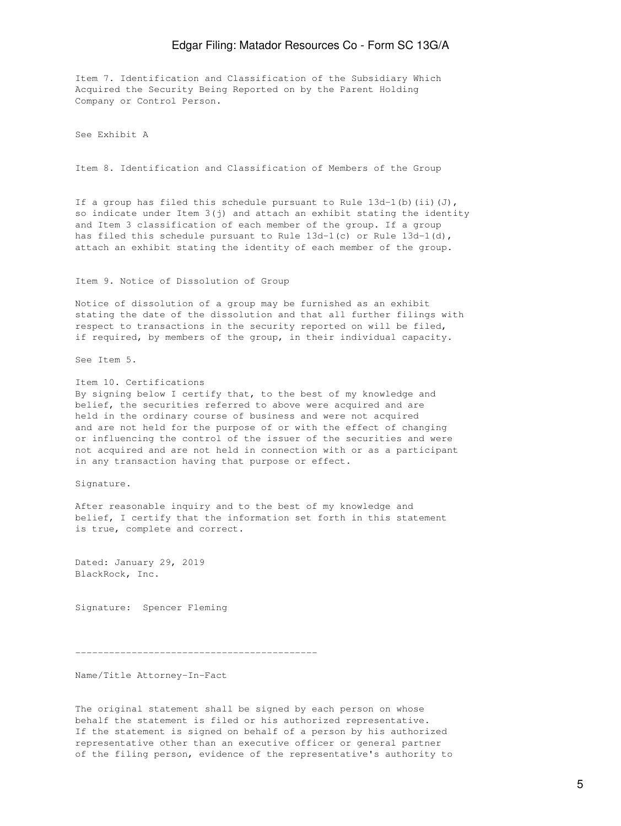Item 7. Identification and Classification of the Subsidiary Which Acquired the Security Being Reported on by the Parent Holding Company or Control Person.

See Exhibit A

Item 8. Identification and Classification of Members of the Group

If a group has filed this schedule pursuant to Rule  $13d-1$  (b) (ii)(J), so indicate under Item  $3(j)$  and attach an exhibit stating the identity and Item 3 classification of each member of the group. If a group has filed this schedule pursuant to Rule 13d-1(c) or Rule 13d-1(d), attach an exhibit stating the identity of each member of the group.

Item 9. Notice of Dissolution of Group

Notice of dissolution of a group may be furnished as an exhibit stating the date of the dissolution and that all further filings with respect to transactions in the security reported on will be filed, if required, by members of the group, in their individual capacity.

See Item 5.

Item 10. Certifications By signing below I certify that, to the best of my knowledge and belief, the securities referred to above were acquired and are held in the ordinary course of business and were not acquired and are not held for the purpose of or with the effect of changing or influencing the control of the issuer of the securities and were not acquired and are not held in connection with or as a participant in any transaction having that purpose or effect.

Signature.

After reasonable inquiry and to the best of my knowledge and belief, I certify that the information set forth in this statement is true, complete and correct.

Dated: January 29, 2019 BlackRock, Inc.

Signature: Spencer Fleming

-------------------------------------------

Name/Title Attorney-In-Fact

The original statement shall be signed by each person on whose behalf the statement is filed or his authorized representative. If the statement is signed on behalf of a person by his authorized representative other than an executive officer or general partner of the filing person, evidence of the representative's authority to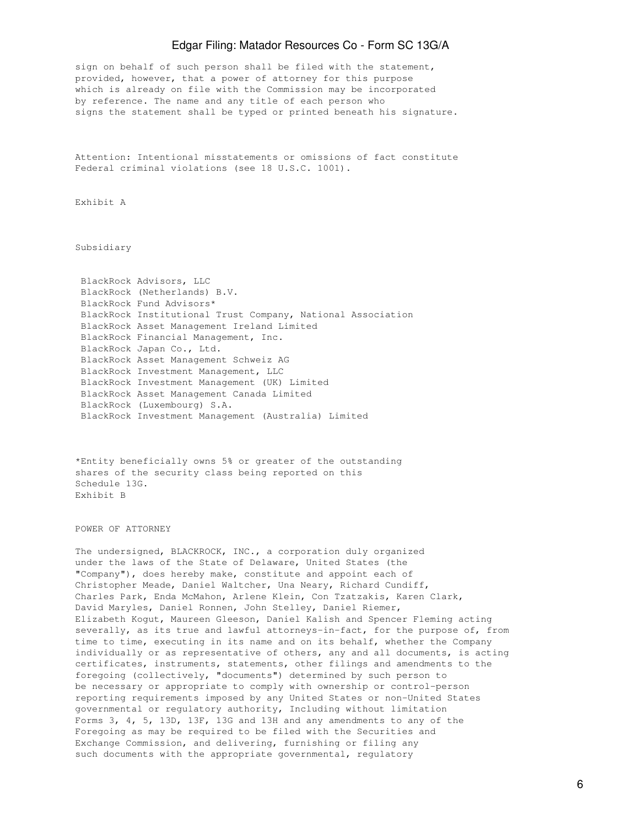sign on behalf of such person shall be filed with the statement, provided, however, that a power of attorney for this purpose which is already on file with the Commission may be incorporated by reference. The name and any title of each person who signs the statement shall be typed or printed beneath his signature.

Attention: Intentional misstatements or omissions of fact constitute Federal criminal violations (see 18 U.S.C. 1001).

Exhibit A

Subsidiary

 BlackRock Advisors, LLC BlackRock (Netherlands) B.V. BlackRock Fund Advisors\* BlackRock Institutional Trust Company, National Association BlackRock Asset Management Ireland Limited BlackRock Financial Management, Inc. BlackRock Japan Co., Ltd. BlackRock Asset Management Schweiz AG BlackRock Investment Management, LLC BlackRock Investment Management (UK) Limited BlackRock Asset Management Canada Limited BlackRock (Luxembourg) S.A. BlackRock Investment Management (Australia) Limited

\*Entity beneficially owns 5% or greater of the outstanding shares of the security class being reported on this Schedule 13G. Exhibit B

POWER OF ATTORNEY

The undersigned, BLACKROCK, INC., a corporation duly organized under the laws of the State of Delaware, United States (the "Company"), does hereby make, constitute and appoint each of Christopher Meade, Daniel Waltcher, Una Neary, Richard Cundiff, Charles Park, Enda McMahon, Arlene Klein, Con Tzatzakis, Karen Clark, David Maryles, Daniel Ronnen, John Stelley, Daniel Riemer, Elizabeth Kogut, Maureen Gleeson, Daniel Kalish and Spencer Fleming acting severally, as its true and lawful attorneys-in-fact, for the purpose of, from time to time, executing in its name and on its behalf, whether the Company individually or as representative of others, any and all documents, is acting certificates, instruments, statements, other filings and amendments to the foregoing (collectively, "documents") determined by such person to be necessary or appropriate to comply with ownership or control-person reporting requirements imposed by any United States or non-United States governmental or regulatory authority, Including without limitation Forms 3, 4, 5, 13D, 13F, 13G and 13H and any amendments to any of the Foregoing as may be required to be filed with the Securities and Exchange Commission, and delivering, furnishing or filing any such documents with the appropriate governmental, regulatory